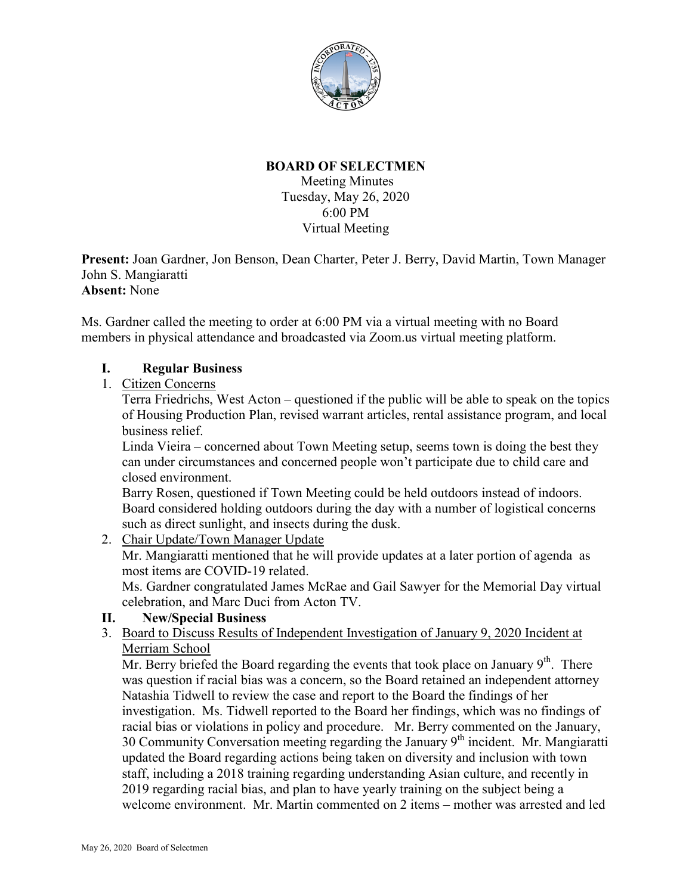

# **BOARD OF SELECTMEN**

Meeting Minutes Tuesday, May 26, 2020 6:00 PM Virtual Meeting

**Present:** Joan Gardner, Jon Benson, Dean Charter, Peter J. Berry, David Martin, Town Manager John S. Mangiaratti **Absent:** None

Ms. Gardner called the meeting to order at 6:00 PM via a virtual meeting with no Board members in physical attendance and broadcasted via Zoom.us virtual meeting platform.

# **I. Regular Business**

1. Citizen Concerns

Terra Friedrichs, West Acton – questioned if the public will be able to speak on the topics of Housing Production Plan, revised warrant articles, rental assistance program, and local business relief.

Linda Vieira – concerned about Town Meeting setup, seems town is doing the best they can under circumstances and concerned people won't participate due to child care and closed environment.

Barry Rosen, questioned if Town Meeting could be held outdoors instead of indoors. Board considered holding outdoors during the day with a number of logistical concerns such as direct sunlight, and insects during the dusk.

2. Chair Update/Town Manager Update

Mr. Mangiaratti mentioned that he will provide updates at a later portion of agenda as most items are COVID-19 related.

Ms. Gardner congratulated James McRae and Gail Sawyer for the Memorial Day virtual celebration, and Marc Duci from Acton TV.

### **II. New/Special Business**

3. Board to Discuss Results of Independent Investigation of January 9, 2020 Incident at Merriam School

Mr. Berry briefed the Board regarding the events that took place on January  $9<sup>th</sup>$ . There was question if racial bias was a concern, so the Board retained an independent attorney Natashia Tidwell to review the case and report to the Board the findings of her investigation. Ms. Tidwell reported to the Board her findings, which was no findings of racial bias or violations in policy and procedure. Mr. Berry commented on the January, 30 Community Conversation meeting regarding the January  $9<sup>th</sup>$  incident. Mr. Mangiaratti updated the Board regarding actions being taken on diversity and inclusion with town staff, including a 2018 training regarding understanding Asian culture, and recently in 2019 regarding racial bias, and plan to have yearly training on the subject being a welcome environment. Mr. Martin commented on 2 items – mother was arrested and led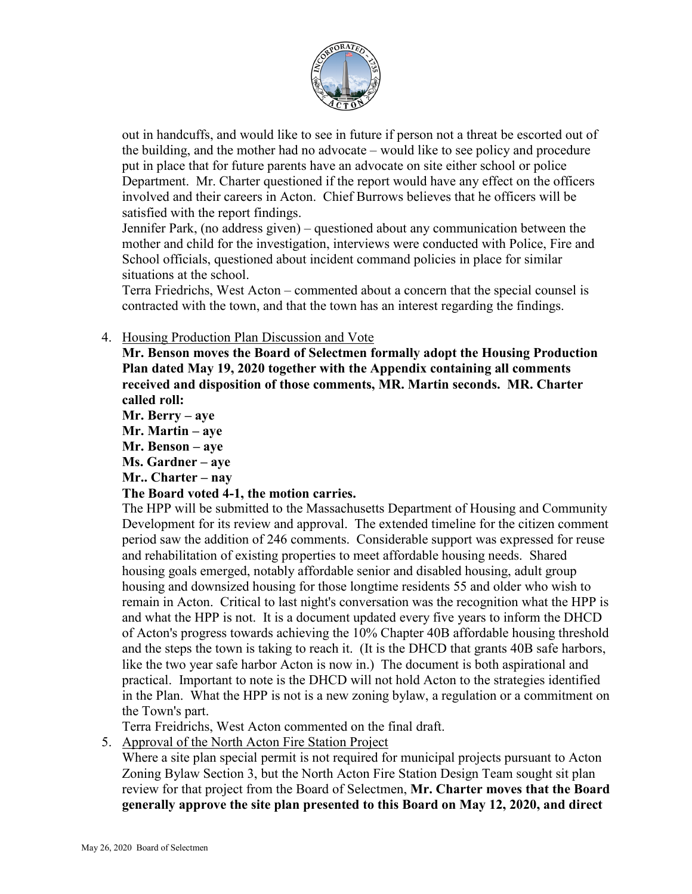

out in handcuffs, and would like to see in future if person not a threat be escorted out of the building, and the mother had no advocate – would like to see policy and procedure put in place that for future parents have an advocate on site either school or police Department. Mr. Charter questioned if the report would have any effect on the officers involved and their careers in Acton. Chief Burrows believes that he officers will be satisfied with the report findings.

Jennifer Park, (no address given) – questioned about any communication between the mother and child for the investigation, interviews were conducted with Police, Fire and School officials, questioned about incident command policies in place for similar situations at the school.

Terra Friedrichs, West Acton – commented about a concern that the special counsel is contracted with the town, and that the town has an interest regarding the findings.

### 4. Housing Production Plan Discussion and Vote

**Mr. Benson moves the Board of Selectmen formally adopt the Housing Production Plan dated May 19, 2020 together with the Appendix containing all comments received and disposition of those comments, MR. Martin seconds. MR. Charter called roll:**

**Mr. Berry – aye**

**Mr. Martin – aye**

**Mr. Benson – aye**

**Ms. Gardner – aye**

**Mr.. Charter – nay**

# **The Board voted 4-1, the motion carries.**

The HPP will be submitted to the Massachusetts Department of Housing and Community Development for its review and approval. The extended timeline for the citizen comment period saw the addition of 246 comments. Considerable support was expressed for reuse and rehabilitation of existing properties to meet affordable housing needs. Shared housing goals emerged, notably affordable senior and disabled housing, adult group housing and downsized housing for those longtime residents 55 and older who wish to remain in Acton. Critical to last night's conversation was the recognition what the HPP is and what the HPP is not. It is a document updated every five years to inform the DHCD of Acton's progress towards achieving the 10% Chapter 40B affordable housing threshold and the steps the town is taking to reach it. (It is the DHCD that grants 40B safe harbors, like the two year safe harbor Acton is now in.) The document is both aspirational and practical. Important to note is the DHCD will not hold Acton to the strategies identified in the Plan. What the HPP is not is a new zoning bylaw, a regulation or a commitment on the Town's part.

Terra Freidrichs, West Acton commented on the final draft.

5. Approval of the North Acton Fire Station Project

Where a site plan special permit is not required for municipal projects pursuant to Acton Zoning Bylaw Section 3, but the North Acton Fire Station Design Team sought sit plan review for that project from the Board of Selectmen, **Mr. Charter moves that the Board generally approve the site plan presented to this Board on May 12, 2020, and direct**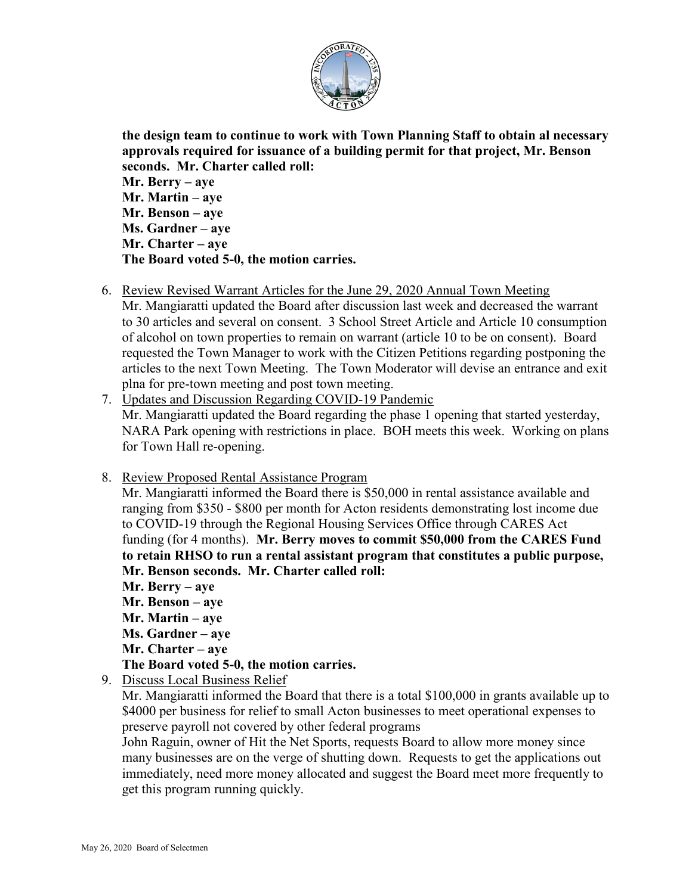

**the design team to continue to work with Town Planning Staff to obtain al necessary approvals required for issuance of a building permit for that project, Mr. Benson seconds. Mr. Charter called roll:**

**Mr. Berry – aye Mr. Martin – aye Mr. Benson – aye Ms. Gardner – aye Mr. Charter – aye The Board voted 5-0, the motion carries.**

6. Review Revised Warrant Articles for the June 29, 2020 Annual Town Meeting

Mr. Mangiaratti updated the Board after discussion last week and decreased the warrant to 30 articles and several on consent. 3 School Street Article and Article 10 consumption of alcohol on town properties to remain on warrant (article 10 to be on consent). Board requested the Town Manager to work with the Citizen Petitions regarding postponing the articles to the next Town Meeting. The Town Moderator will devise an entrance and exit plna for pre-town meeting and post town meeting.

7. Updates and Discussion Regarding COVID-19 Pandemic Mr. Mangiaratti updated the Board regarding the phase 1 opening that started yesterday, NARA Park opening with restrictions in place. BOH meets this week. Working on plans for Town Hall re-opening.

# 8. Review Proposed Rental Assistance Program

Mr. Mangiaratti informed the Board there is \$50,000 in rental assistance available and ranging from \$350 - \$800 per month for Acton residents demonstrating lost income due to COVID-19 through the Regional Housing Services Office through CARES Act funding (for 4 months). **Mr. Berry moves to commit \$50,000 from the CARES Fund to retain RHSO to run a rental assistant program that constitutes a public purpose, Mr. Benson seconds. Mr. Charter called roll:**

- **Mr. Berry – aye**
- **Mr. Benson – aye**
- **Mr. Martin – aye**
- **Ms. Gardner – aye**
- **Mr. Charter – aye**

**The Board voted 5-0, the motion carries.**

9. Discuss Local Business Relief

Mr. Mangiaratti informed the Board that there is a total \$100,000 in grants available up to \$4000 per business for relief to small Acton businesses to meet operational expenses to preserve payroll not covered by other federal programs

John Raguin, owner of Hit the Net Sports, requests Board to allow more money since many businesses are on the verge of shutting down. Requests to get the applications out immediately, need more money allocated and suggest the Board meet more frequently to get this program running quickly.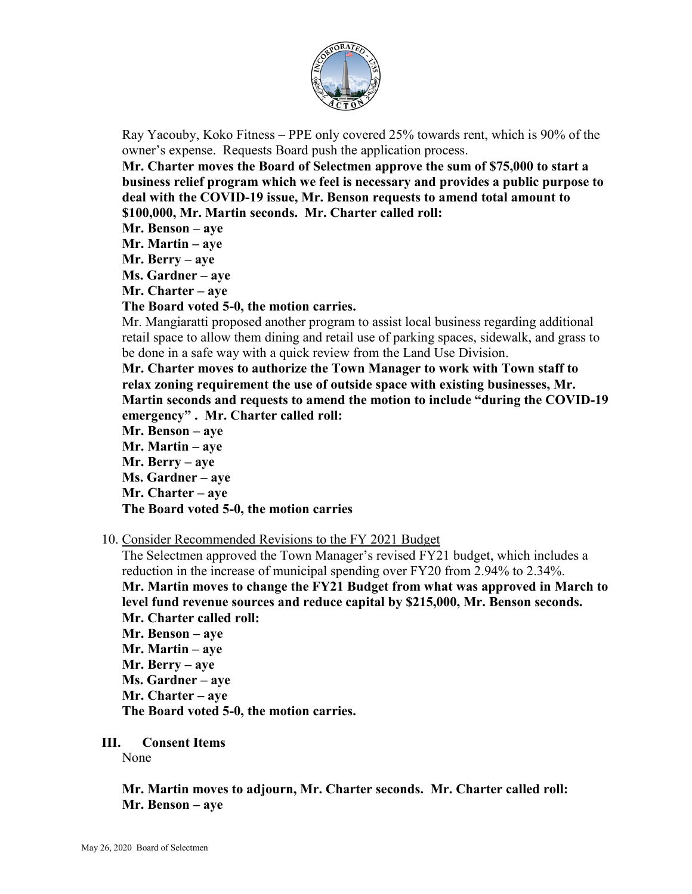

Ray Yacouby, Koko Fitness – PPE only covered 25% towards rent, which is 90% of the owner's expense. Requests Board push the application process.

**Mr. Charter moves the Board of Selectmen approve the sum of \$75,000 to start a business relief program which we feel is necessary and provides a public purpose to deal with the COVID-19 issue, Mr. Benson requests to amend total amount to \$100,000, Mr. Martin seconds. Mr. Charter called roll:**

- **Mr. Benson – aye**
- **Mr. Martin – aye**
- **Mr. Berry – aye**
- **Ms. Gardner – aye**
- **Mr. Charter – aye**

#### **The Board voted 5-0, the motion carries.**

Mr. Mangiaratti proposed another program to assist local business regarding additional retail space to allow them dining and retail use of parking spaces, sidewalk, and grass to be done in a safe way with a quick review from the Land Use Division.

**Mr. Charter moves to authorize the Town Manager to work with Town staff to relax zoning requirement the use of outside space with existing businesses, Mr. Martin seconds and requests to amend the motion to include "during the COVID-19 emergency" . Mr. Charter called roll:**

**Mr. Benson – aye**

**Mr. Martin – aye**

**Mr. Berry – aye**

**Ms. Gardner – aye**

**Mr. Charter – aye**

### **The Board voted 5-0, the motion carries**

### 10. Consider Recommended Revisions to the FY 2021 Budget

The Selectmen approved the Town Manager's revised FY21 budget, which includes a reduction in the increase of municipal spending over FY20 from 2.94% to 2.34%. **Mr. Martin moves to change the FY21 Budget from what was approved in March to level fund revenue sources and reduce capital by \$215,000, Mr. Benson seconds. Mr. Charter called roll: Mr. Benson – aye Mr. Martin – aye Mr. Berry – aye Ms. Gardner – aye Mr. Charter – aye The Board voted 5-0, the motion carries.**

#### **III. Consent Items**

None

# **Mr. Martin moves to adjourn, Mr. Charter seconds. Mr. Charter called roll: Mr. Benson – aye**